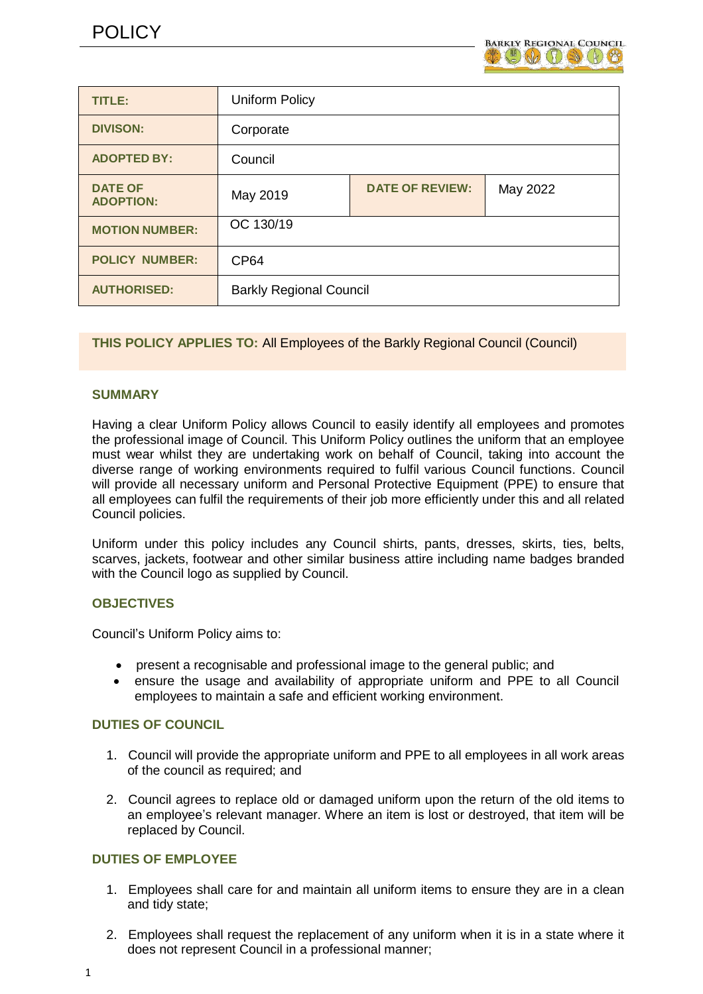

| TITLE:                             | <b>Uniform Policy</b>          |                        |          |
|------------------------------------|--------------------------------|------------------------|----------|
| <b>DIVISON:</b>                    | Corporate                      |                        |          |
| <b>ADOPTED BY:</b>                 | Council                        |                        |          |
| <b>DATE OF</b><br><b>ADOPTION:</b> | May 2019                       | <b>DATE OF REVIEW:</b> | May 2022 |
| <b>MOTION NUMBER:</b>              | OC 130/19                      |                        |          |
| <b>POLICY NUMBER:</b>              | <b>CP64</b>                    |                        |          |
| <b>AUTHORISED:</b>                 | <b>Barkly Regional Council</b> |                        |          |

## **THIS POLICY APPLIES TO:** All Employees of the Barkly Regional Council (Council)

#### **SUMMARY**

Having a clear Uniform Policy allows Council to easily identify all employees and promotes the professional image of Council. This Uniform Policy outlines the uniform that an employee must wear whilst they are undertaking work on behalf of Council, taking into account the diverse range of working environments required to fulfil various Council functions. Council will provide all necessary uniform and Personal Protective Equipment (PPE) to ensure that all employees can fulfil the requirements of their job more efficiently under this and all related Council policies.

Uniform under this policy includes any Council shirts, pants, dresses, skirts, ties, belts, scarves, jackets, footwear and other similar business attire including name badges branded with the Council logo as supplied by Council.

#### **OBJECTIVES**

Council's Uniform Policy aims to:

- present a recognisable and professional image to the general public; and
- ensure the usage and availability of appropriate uniform and PPE to all Council employees to maintain a safe and efficient working environment.

#### **DUTIES OF COUNCIL**

- 1. Council will provide the appropriate uniform and PPE to all employees in all work areas of the council as required; and
- 2. Council agrees to replace old or damaged uniform upon the return of the old items to an employee's relevant manager. Where an item is lost or destroyed, that item will be replaced by Council.

## **DUTIES OF EMPLOYEE**

- 1. Employees shall care for and maintain all uniform items to ensure they are in a clean and tidy state;
- 2. Employees shall request the replacement of any uniform when it is in a state where it does not represent Council in a professional manner;